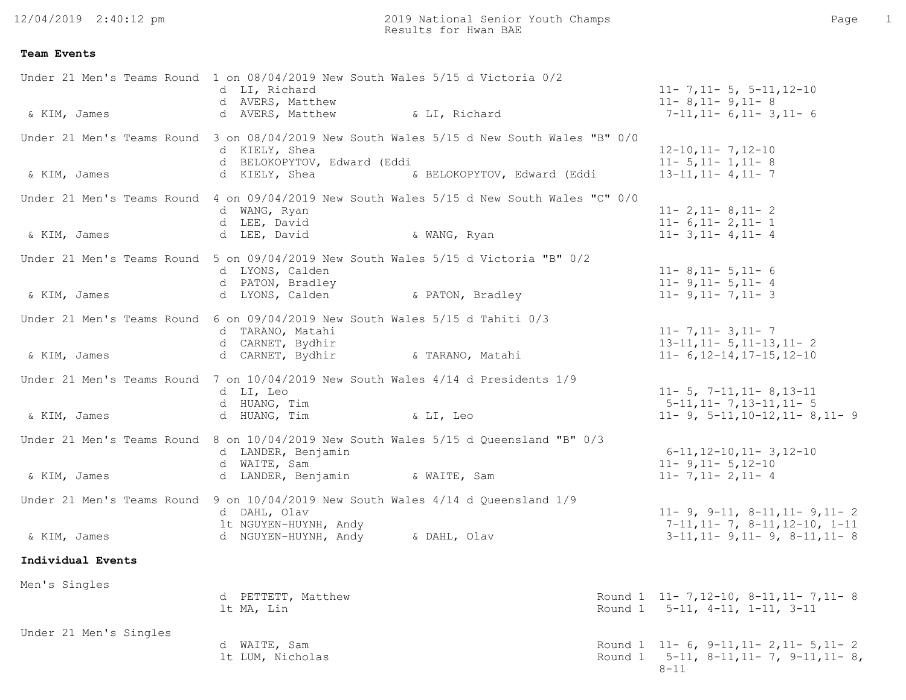12/04/2019 2:40:12 pm

2019 National Senior Youth Champs Page 1 Results for Hwan BAE

## **Team Events**

| & KIM, James           | Under 21 Men's Teams Round 1 on 08/04/2019 New South Wales 5/15 d Victoria 0/2<br>d LI, Richard<br>d AVERS, Matthew<br>d AVERS, Matthew<br>& LI, Richard                                  | $11 - 7, 11 - 5, 5 - 11, 12 - 10$<br>$11 - 8$ , 11 - 9, 11 - 8<br>$7-11, 11-6, 11-3, 11-6$                                       |
|------------------------|-------------------------------------------------------------------------------------------------------------------------------------------------------------------------------------------|----------------------------------------------------------------------------------------------------------------------------------|
| & KIM, James           | Under 21 Men's Teams Round 3 on 08/04/2019 New South Wales 5/15 d New South Wales "B" 0/0<br>d KIELY, Shea<br>d BELOKOPYTOV, Edward (Eddi<br>d KIELY, Shea<br>& BELOKOPYTOV, Edward (Eddi | $12 - 10$ , $11 - 7$ , $12 - 10$<br>$11 - 5, 11 - 1, 11 - 8$<br>$13 - 11, 11 - 4, 11 - 7$                                        |
|                        | Under 21 Men's Teams Round 4 on 09/04/2019 New South Wales 5/15 d New South Wales "C" 0/0<br>d WANG, Ryan<br>d LEE, David                                                                 | $11 - 2, 11 - 8, 11 - 2$<br>$11 - 6, 11 - 2, 11 - 1$                                                                             |
| & KIM, James           | d LEE, David<br>& WANG, Ryan<br>Under 21 Men's Teams Round 5 on 09/04/2019 New South Wales 5/15 d Victoria "B" 0/2                                                                        | $11 - 3, 11 - 4, 11 - 4$                                                                                                         |
| & KIM, James           | d LYONS, Calden<br>d PATON, Bradley<br>d LYONS, Calden<br>& PATON, Bradley                                                                                                                | $11 - 8$ , 11 - 5, 11 - 6<br>$11 - 9, 11 - 5, 11 - 4$<br>$11 - 9, 11 - 7, 11 - 3$                                                |
|                        | Under 21 Men's Teams Round 6 on 09/04/2019 New South Wales 5/15 d Tahiti 0/3<br>d TARANO, Matahi<br>d CARNET, Bydhir                                                                      | $11 - 7, 11 - 3, 11 - 7$<br>$13-11, 11-5, 11-13, 11-2$                                                                           |
| & KIM, James           | d CARNET, Bydhir<br>& TARANO, Matahi                                                                                                                                                      | $11 - 6$ , 12-14, 17-15, 12-10                                                                                                   |
| & KIM, James           | Under 21 Men's Teams Round 7 on 10/04/2019 New South Wales 4/14 d Presidents 1/9<br>d LI, Leo<br>d HUANG, Tim<br>d HUANG, Tim<br>& LI, Leo                                                | $11 - 5$ , $7 - 11$ , $11 - 8$ , $13 - 11$<br>$5-11, 11-7, 13-11, 11-5$<br>$11 - 9$ , $5 - 11$ , $10 - 12$ , $11 - 8$ , $11 - 9$ |
| & KIM, James           | Under 21 Men's Teams Round 8 on 10/04/2019 New South Wales 5/15 d Queensland "B" 0/3<br>d LANDER, Benjamin<br>d WAITE, Sam<br>d LANDER, Benjamin (& WAITE, Sam                            | $6-11, 12-10, 11-3, 12-10$<br>$11 - 9, 11 - 5, 12 - 10$<br>$11 - 7, 11 - 2, 11 - 4$                                              |
|                        | Under 21 Men's Teams Round 9 on 10/04/2019 New South Wales 4/14 d Queensland 1/9<br>d DAHL, Olav                                                                                          | $11 - 9$ , $9 - 11$ , $8 - 11$ , $11 - 9$ , $11 - 2$                                                                             |
| & KIM, James           | 1t NGUYEN-HUYNH, Andy<br>& DAHL, Olav<br>d NGUYEN-HUYNH, Andy                                                                                                                             | $7-11, 11-7, 8-11, 12-10, 1-11$<br>$3-11, 11-9, 11-9, 8-11, 11-8$                                                                |
| Individual Events      |                                                                                                                                                                                           |                                                                                                                                  |
| Men's Singles          | d PETTETT, Matthew<br>lt MA, Lin                                                                                                                                                          | Round 1 11-7, 12-10, 8-11, 11-7, 11-8<br>Round 1 5-11, 4-11, 1-11, 3-11                                                          |
| Under 21 Men's Singles | d WAITE, Sam<br>lt LUM, Nicholas                                                                                                                                                          | Round 1 $11-6$ , $9-11$ , $11-2$ , $11-5$ , $11-2$<br>Round 1 $5-11$ , $8-11$ , $11-7$ , $9-11$ , $11-8$ ,<br>$8 - 11$           |